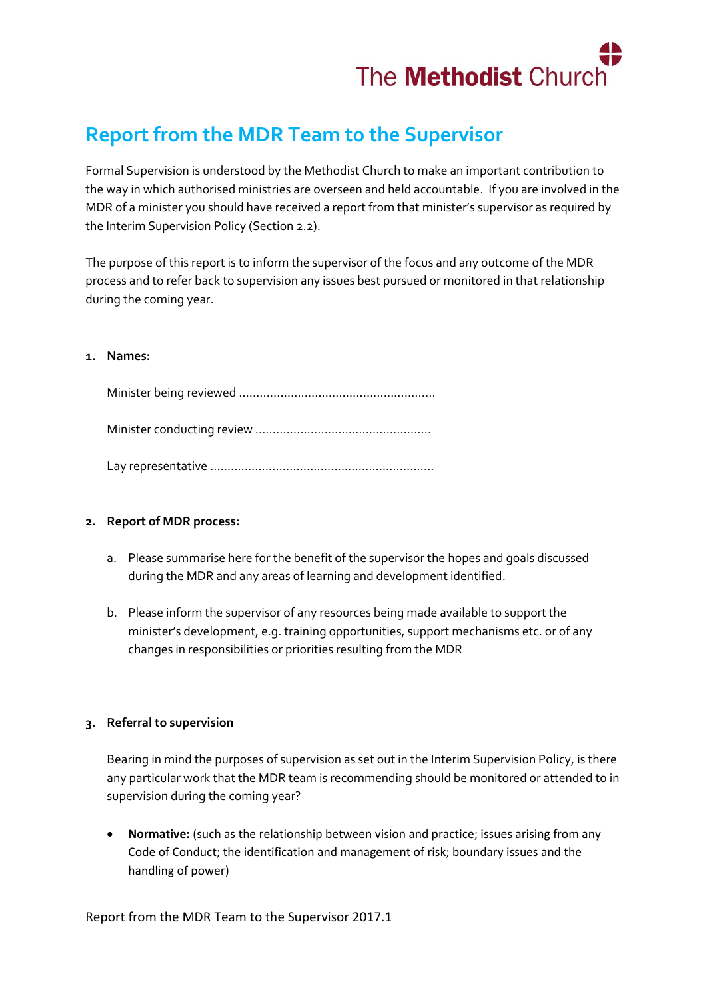

## **Report from the MDR Team to the Supervisor**

Formal Supervision is understood by the Methodist Church to make an important contribution to the way in which authorised ministries are overseen and held accountable. If you are involved in the MDR of a minister you should have received a report from that minister's supervisor as required by the Interim Supervision Policy (Section 2.2).

The purpose of this report is to inform the supervisor of the focus and any outcome of the MDR process and to refer back to supervision any issues best pursued or monitored in that relationship during the coming year.

## **1. Names:**

## **2. Report of MDR process:**

- a. Please summarise here for the benefit of the supervisor the hopes and goals discussed during the MDR and any areas of learning and development identified.
- b. Please inform the supervisor of any resources being made available to support the minister's development, e.g. training opportunities, support mechanisms etc. or of any changes in responsibilities or priorities resulting from the MDR

## **3. Referral to supervision**

Bearing in mind the purposes of supervision as set out in the Interim Supervision Policy, is there any particular work that the MDR team is recommending should be monitored or attended to in supervision during the coming year?

 **Normative:** (such as the relationship between vision and practice; issues arising from any Code of Conduct; the identification and management of risk; boundary issues and the handling of power)

Report from the MDR Team to the Supervisor 2017.1